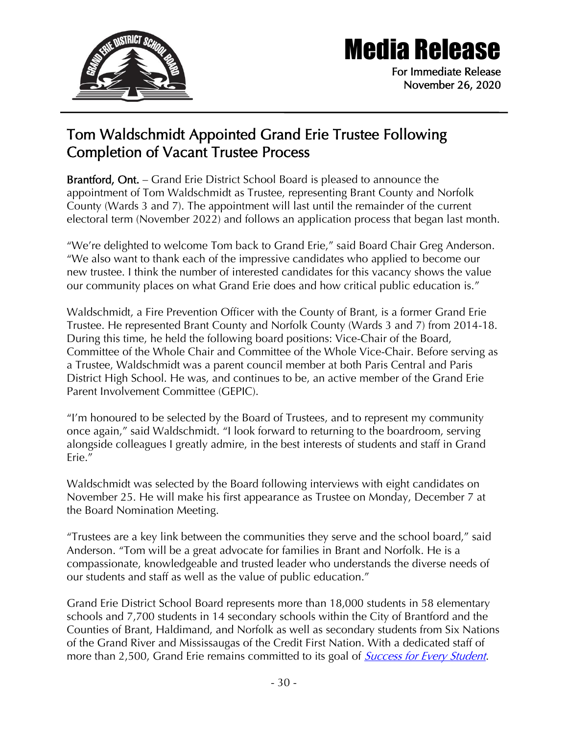

## Media Release

For Immediate Release November 26, 2020

## Tom Waldschmidt Appointed Grand Erie Trustee Following Completion of Vacant Trustee Process

Brantford, Ont. – Grand Erie District School Board is pleased to announce the appointment of Tom Waldschmidt as Trustee, representing Brant County and Norfolk County (Wards 3 and 7). The appointment will last until the remainder of the current electoral term (November 2022) and follows an application process that began last month.

"We're delighted to welcome Tom back to Grand Erie," said Board Chair Greg Anderson. "We also want to thank each of the impressive candidates who applied to become our new trustee. I think the number of interested candidates for this vacancy shows the value our community places on what Grand Erie does and how critical public education is."

Waldschmidt, a Fire Prevention Officer with the County of Brant, is a former Grand Erie Trustee. He represented Brant County and Norfolk County (Wards 3 and 7) from 2014-18. During this time, he held the following board positions: Vice-Chair of the Board, Committee of the Whole Chair and Committee of the Whole Vice-Chair. Before serving as a Trustee, Waldschmidt was a parent council member at both Paris Central and Paris District High School. He was, and continues to be, an active member of the Grand Erie Parent Involvement Committee (GEPIC).

"I'm honoured to be selected by the Board of Trustees, and to represent my community once again," said Waldschmidt. "I look forward to returning to the boardroom, serving alongside colleagues I greatly admire, in the best interests of students and staff in Grand Erie."

Waldschmidt was selected by the Board following interviews with eight candidates on November 25. He will make his first appearance as Trustee on Monday, December 7 at the Board Nomination Meeting.

"Trustees are a key link between the communities they serve and the school board," said Anderson. "Tom will be a great advocate for families in Brant and Norfolk. He is a compassionate, knowledgeable and trusted leader who understands the diverse needs of our students and staff as well as the value of public education."

Grand Erie District School Board represents more than 18,000 students in 58 elementary schools and 7,700 students in 14 secondary schools within the City of Brantford and the Counties of Brant, Haldimand, and Norfolk as well as secondary students from Six Nations of the Grand River and Mississaugas of the Credit First Nation. With a dedicated staff of more than 2,500, Grand Erie remains committed to its goal of *[Success for Every Student](https://www.granderie.ca/board/about/multi-year-plan)*.